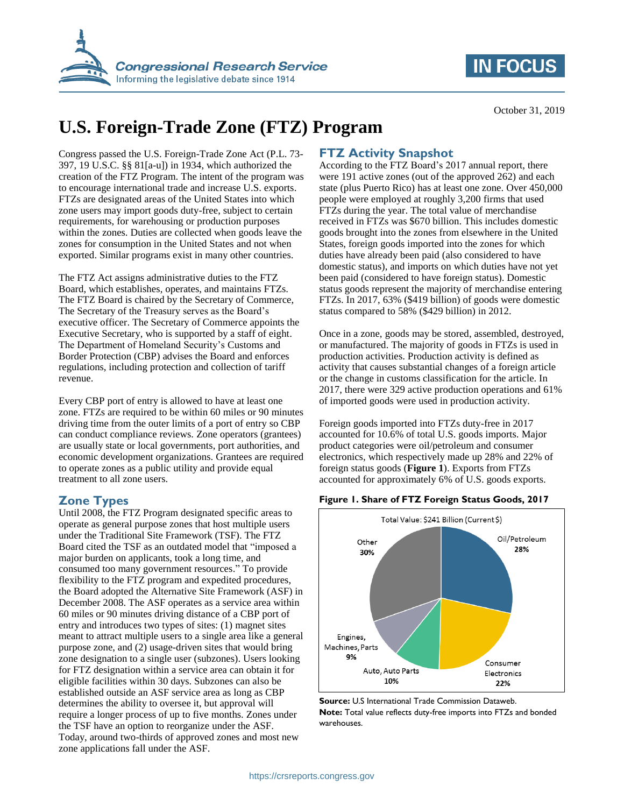

# **IN FOCUS**

October 31, 2019

# **U.S. Foreign-Trade Zone (FTZ) Program**

Congress passed the U.S. Foreign-Trade Zone Act (P.L. 73- 397, 19 U.S.C. §§ 81[a-u]) in 1934, which authorized the creation of the FTZ Program. The intent of the program was to encourage international trade and increase U.S. exports. FTZs are designated areas of the United States into which zone users may import goods duty-free, subject to certain requirements, for warehousing or production purposes within the zones. Duties are collected when goods leave the zones for consumption in the United States and not when exported. Similar programs exist in many other countries.

The FTZ Act assigns administrative duties to the FTZ Board, which establishes, operates, and maintains FTZs. The FTZ Board is chaired by the Secretary of Commerce, The Secretary of the Treasury serves as the Board's executive officer. The Secretary of Commerce appoints the Executive Secretary, who is supported by a staff of eight. The Department of Homeland Security's Customs and Border Protection (CBP) advises the Board and enforces regulations, including protection and collection of tariff revenue.

Every CBP port of entry is allowed to have at least one zone. FTZs are required to be within 60 miles or 90 minutes driving time from the outer limits of a port of entry so CBP can conduct compliance reviews. Zone operators (grantees) are usually state or local governments, port authorities, and economic development organizations. Grantees are required to operate zones as a public utility and provide equal treatment to all zone users.

## **Zone Types**

Until 2008, the FTZ Program designated specific areas to operate as general purpose zones that host multiple users under the Traditional Site Framework (TSF). The FTZ Board cited the TSF as an outdated model that "imposed a major burden on applicants, took a long time, and consumed too many government resources." To provide flexibility to the FTZ program and expedited procedures, the Board adopted the Alternative Site Framework (ASF) in December 2008. The ASF operates as a service area within 60 miles or 90 minutes driving distance of a CBP port of entry and introduces two types of sites: (1) magnet sites meant to attract multiple users to a single area like a general purpose zone, and (2) usage-driven sites that would bring zone designation to a single user (subzones). Users looking for FTZ designation within a service area can obtain it for eligible facilities within 30 days. Subzones can also be established outside an ASF service area as long as CBP determines the ability to oversee it, but approval will require a longer process of up to five months. Zones under the TSF have an option to reorganize under the ASF. Today, around two-thirds of approved zones and most new zone applications fall under the ASF.

## **FTZ Activity Snapshot**

According to the FTZ Board's 2017 annual report, there were 191 active zones (out of the approved 262) and each state (plus Puerto Rico) has at least one zone. Over 450,000 people were employed at roughly 3,200 firms that used FTZs during the year. The total value of merchandise received in FTZs was \$670 billion. This includes domestic goods brought into the zones from elsewhere in the United States, foreign goods imported into the zones for which duties have already been paid (also considered to have domestic status), and imports on which duties have not yet been paid (considered to have foreign status). Domestic status goods represent the majority of merchandise entering FTZs. In 2017, 63% (\$419 billion) of goods were domestic status compared to 58% (\$429 billion) in 2012.

Once in a zone, goods may be stored, assembled, destroyed, or manufactured. The majority of goods in FTZs is used in production activities. Production activity is defined as activity that causes substantial changes of a foreign article or the change in customs classification for the article. In 2017, there were 329 active production operations and 61% of imported goods were used in production activity.

Foreign goods imported into FTZs duty-free in 2017 accounted for 10.6% of total U.S. goods imports. Major product categories were oil/petroleum and consumer electronics, which respectively made up 28% and 22% of foreign status goods (**Figure 1**). Exports from FTZs accounted for approximately 6% of U.S. goods exports.

#### **Figure 1. Share of FTZ Foreign Status Goods, 2017**



**Source:** U.S International Trade Commission Dataweb. **Note:** Total value reflects duty-free imports into FTZs and bonded warehouses.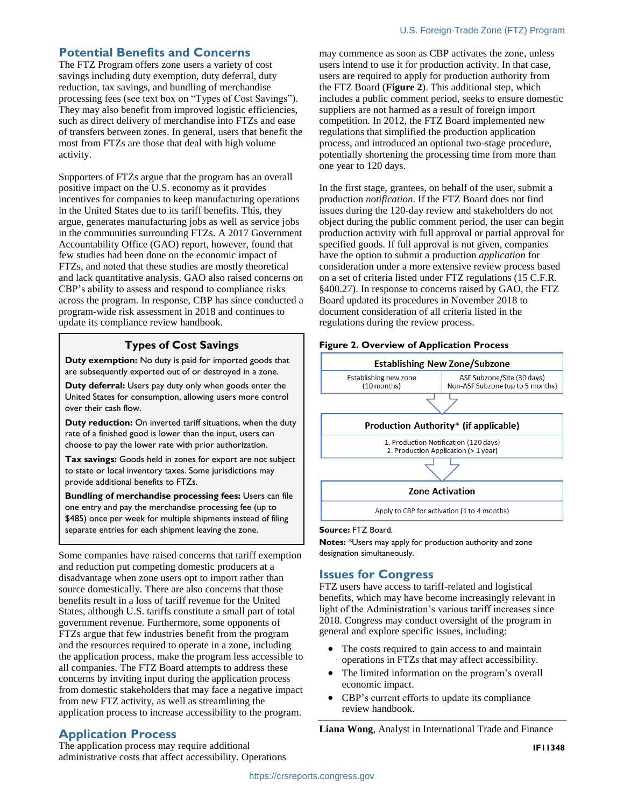### **Potential Benefits and Concerns**

The FTZ Program offers zone users a variety of cost savings including duty exemption, duty deferral, duty reduction, tax savings, and bundling of merchandise processing fees (see text box on "Types of Cost Savings"). They may also benefit from improved logistic efficiencies, such as direct delivery of merchandise into FTZs and ease of transfers between zones. In general, users that benefit the most from FTZs are those that deal with high volume activity.

Supporters of FTZs argue that the program has an overall positive impact on the U.S. economy as it provides incentives for companies to keep manufacturing operations in the United States due to its tariff benefits. This, they argue, generates manufacturing jobs as well as service jobs in the communities surrounding FTZs. A 2017 Government Accountability Office (GAO) report, however, found that few studies had been done on the economic impact of FTZs, and noted that these studies are mostly theoretical and lack quantitative analysis. GAO also raised concerns on CBP's ability to assess and respond to compliance risks across the program. In response, CBP has since conducted a program-wide risk assessment in 2018 and continues to update its compliance review handbook.

## **Types of Cost Savings**

**Duty exemption:** No duty is paid for imported goods that are subsequently exported out of or destroyed in a zone.

**Duty deferral:** Users pay duty only when goods enter the United States for consumption, allowing users more control over their cash flow.

**Duty reduction:** On inverted tariff situations, when the duty rate of a finished good is lower than the input, users can choose to pay the lower rate with prior authorization.

**Tax savings:** Goods held in zones for export are not subject to state or local inventory taxes. Some jurisdictions may provide additional benefits to FTZs.

**Bundling of merchandise processing fees:** Users can file one entry and pay the merchandise processing fee (up to \$485) once per week for multiple shipments instead of filing separate entries for each shipment leaving the zone.

Some companies have raised concerns that tariff exemption and reduction put competing domestic producers at a disadvantage when zone users opt to import rather than source domestically. There are also concerns that those benefits result in a loss of tariff revenue for the United States, although U.S. tariffs constitute a small part of total government revenue. Furthermore, some opponents of FTZs argue that few industries benefit from the program and the resources required to operate in a zone, including the application process, make the program less accessible to all companies. The FTZ Board attempts to address these concerns by inviting input during the application process from domestic stakeholders that may face a negative impact from new FTZ activity, as well as streamlining the application process to increase accessibility to the program.

#### may commence as soon as CBP activates the zone, unless users intend to use it for production activity. In that case, users are required to apply for production authority from the FTZ Board (**Figure 2**). This additional step, which includes a public comment period, seeks to ensure domestic suppliers are not harmed as a result of foreign import competition. In 2012, the FTZ Board implemented new regulations that simplified the production application process, and introduced an optional two-stage procedure, potentially shortening the processing time from more than one year to 120 days.

In the first stage, grantees, on behalf of the user, submit a production *notification*. If the FTZ Board does not find issues during the 120-day review and stakeholders do not object during the public comment period, the user can begin production activity with full approval or partial approval for specified goods. If full approval is not given, companies have the option to submit a production *application* for consideration under a more extensive review process based on a set of criteria listed under FTZ regulations (15 C.F.R. §400.27). In response to concerns raised by GAO, the FTZ Board updated its procedures in November 2018 to document consideration of all criteria listed in the regulations during the review process.

#### **Figure 2. Overview of Application Process**



#### **Source:** FTZ Board.

**Notes:** \*Users may apply for production authority and zone designation simultaneously.

## **Issues for Congress**

FTZ users have access to tariff-related and logistical benefits, which may have become increasingly relevant in light of the Administration's various tariff increases since 2018. Congress may conduct oversight of the program in general and explore specific issues, including:

- The costs required to gain access to and maintain operations in FTZs that may affect accessibility.
- The limited information on the program's overall economic impact.
- CBP's current efforts to update its compliance review handbook.

**Liana Wong**, Analyst in International Trade and Finance

## **Application Process**

The application process may require additional administrative costs that affect accessibility. Operations